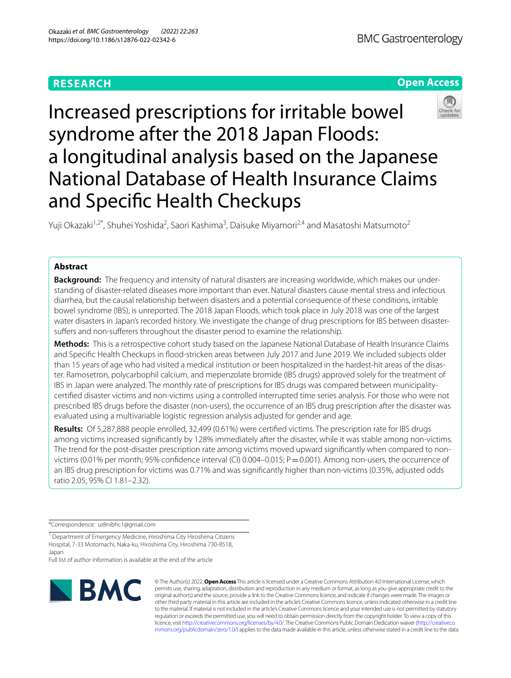# **RESEARCH**

# **Open Access**



Increased prescriptions for irritable bowel syndrome after the 2018 Japan Floods: a longitudinal analysis based on the Japanese National Database of Health Insurance Claims and Specifc Health Checkups

Yuji Okazaki<sup>1,2\*</sup>, Shuhei Yoshida<sup>2</sup>, Saori Kashima<sup>3</sup>, Daisuke Miyamori<sup>2,4</sup> and Masatoshi Matsumoto<sup>2</sup>

# **Abstract**

**Background:** The frequency and intensity of natural disasters are increasing worldwide, which makes our understanding of disaster-related diseases more important than ever. Natural disasters cause mental stress and infectious diarrhea, but the causal relationship between disasters and a potential consequence of these conditions, irritable bowel syndrome (IBS), is unreported. The 2018 Japan Floods, which took place in July 2018 was one of the largest water disasters in Japan's recorded history. We investigate the change of drug prescriptions for IBS between disastersuffers and non-sufferers throughout the disaster period to examine the relationship.

**Methods:** This is a retrospective cohort study based on the Japanese National Database of Health Insurance Claims and Specifc Health Checkups in food-stricken areas between July 2017 and June 2019. We included subjects older than 15 years of age who had visited a medical institution or been hospitalized in the hardest-hit areas of the disaster. Ramosetron, polycarbophil calcium, and mepenzolate bromide (IBS drugs) approved solely for the treatment of IBS in Japan were analyzed. The monthly rate of prescriptions for IBS drugs was compared between municipalitycertifed disaster victims and non-victims using a controlled interrupted time series analysis. For those who were not prescribed IBS drugs before the disaster (non-users), the occurrence of an IBS drug prescription after the disaster was evaluated using a multivariable logistic regression analysis adjusted for gender and age.

**Results:** Of 5,287,888 people enrolled, 32,499 (0.61%) were certifed victims. The prescription rate for IBS drugs among victims increased signifcantly by 128% immediately after the disaster, while it was stable among non-victims. The trend for the post-disaster prescription rate among victims moved upward signifcantly when compared to nonvictims (0.01% per month; 95% confidence interval (CI) 0.004–0.015;  $P = 0.001$ ). Among non-users, the occurrence of an IBS drug prescription for victims was 0.71% and was signifcantly higher than non-victims (0.35%, adjusted odds ratio 2.05; 95% CI 1.81–2.32).

\*Correspondence: ur8nibhc1@gmail.com

<sup>1</sup> Department of Emergency Medicine, Hiroshima City Hiroshima Citizens Hospital, 7-33 Motomachi, Naka-ku, Hiroshima City, Hiroshima 730-8518, Japan

Full list of author information is available at the end of the article



© The Author(s) 2022. **Open Access** This article is licensed under a Creative Commons Attribution 4.0 International License, which permits use, sharing, adaptation, distribution and reproduction in any medium or format, as long as you give appropriate credit to the original author(s) and the source, provide a link to the Creative Commons licence, and indicate if changes were made. The images or other third party material in this article are included in the article's Creative Commons licence, unless indicated otherwise in a credit line to the material. If material is not included in the article's Creative Commons licence and your intended use is not permitted by statutory regulation or exceeds the permitted use, you will need to obtain permission directly from the copyright holder. To view a copy of this licence, visit [http://creativecommons.org/licenses/by/4.0/.](http://creativecommons.org/licenses/by/4.0/) The Creative Commons Public Domain Dedication waiver ([http://creativeco](http://creativecommons.org/publicdomain/zero/1.0/) [mmons.org/publicdomain/zero/1.0/](http://creativecommons.org/publicdomain/zero/1.0/)) applies to the data made available in this article, unless otherwise stated in a credit line to the data.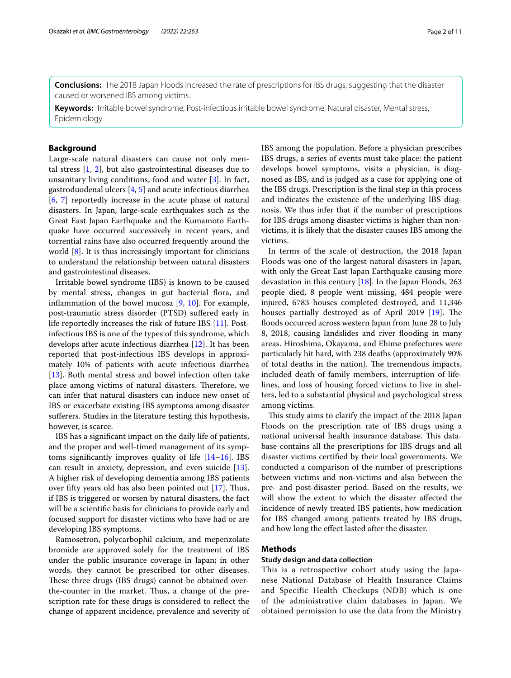**Conclusions:** The 2018 Japan Floods increased the rate of prescriptions for IBS drugs, suggesting that the disaster caused or worsened IBS among victims.

**Keywords:** Irritable bowel syndrome, Post-infectious irritable bowel syndrome, Natural disaster, Mental stress, Epidemiology

# **Background**

Large-scale natural disasters can cause not only mental stress [[1,](#page-9-0) [2](#page-9-1)], but also gastrointestinal diseases due to unsanitary living conditions, food and water [\[3](#page-9-2)]. In fact, gastroduodenal ulcers [\[4](#page-9-3), [5\]](#page-9-4) and acute infectious diarrhea [[6,](#page-9-5) [7\]](#page-9-6) reportedly increase in the acute phase of natural disasters. In Japan, large-scale earthquakes such as the Great East Japan Earthquake and the Kumamoto Earthquake have occurred successively in recent years, and torrential rains have also occurred frequently around the world  $[8]$  $[8]$ . It is thus increasingly important for clinicians to understand the relationship between natural disasters and gastrointestinal diseases.

Irritable bowel syndrome (IBS) is known to be caused by mental stress, changes in gut bacterial flora, and infammation of the bowel mucosa [\[9](#page-9-8), [10\]](#page-9-9). For example, post-traumatic stress disorder (PTSD) sufered early in life reportedly increases the risk of future IBS [\[11](#page-9-10)]. Postinfectious IBS is one of the types of this syndrome, which develops after acute infectious diarrhea [\[12](#page-9-11)]. It has been reported that post-infectious IBS develops in approximately 10% of patients with acute infectious diarrhea [[13\]](#page-9-12). Both mental stress and bowel infection often take place among victims of natural disasters. Therefore, we can infer that natural disasters can induce new onset of IBS or exacerbate existing IBS symptoms among disaster sufferers. Studies in the literature testing this hypothesis, however, is scarce.

IBS has a signifcant impact on the daily life of patients, and the proper and well-timed management of its symptoms signifcantly improves quality of life [\[14–](#page-9-13)[16\]](#page-9-14). IBS can result in anxiety, depression, and even suicide [\[13](#page-9-12)]. A higher risk of developing dementia among IBS patients over fifty years old has also been pointed out  $[17]$  $[17]$ . Thus, if IBS is triggered or worsen by natural disasters, the fact will be a scientifc basis for clinicians to provide early and focused support for disaster victims who have had or are developing IBS symptoms.

Ramosetron, polycarbophil calcium, and mepenzolate bromide are approved solely for the treatment of IBS under the public insurance coverage in Japan; in other words, they cannot be prescribed for other diseases. These three drugs (IBS drugs) cannot be obtained overthe-counter in the market. Thus, a change of the prescription rate for these drugs is considered to refect the change of apparent incidence, prevalence and severity of IBS among the population. Before a physician prescribes IBS drugs, a series of events must take place: the patient develops bowel symptoms, visits a physician, is diagnosed as IBS, and is judged as a case for applying one of the IBS drugs. Prescription is the fnal step in this process and indicates the existence of the underlying IBS diagnosis. We thus infer that if the number of prescriptions for IBS drugs among disaster victims is higher than nonvictims, it is likely that the disaster causes IBS among the victims.

In terms of the scale of destruction, the 2018 Japan Floods was one of the largest natural disasters in Japan, with only the Great East Japan Earthquake causing more devastation in this century [\[18](#page-9-16)]. In the Japan Floods, 263 people died, 8 people went missing, 484 people were injured, 6783 houses completed destroyed, and 11,346 houses partially destroyed as of April 2019 [[19\]](#page-9-17). The floods occurred across western Japan from June 28 to July 8, 2018, causing landslides and river flooding in many areas. Hiroshima, Okayama, and Ehime prefectures were particularly hit hard, with 238 deaths (approximately 90% of total deaths in the nation). The tremendous impacts, included death of family members, interruption of lifelines, and loss of housing forced victims to live in shelters, led to a substantial physical and psychological stress among victims.

This study aims to clarify the impact of the 2018 Japan Floods on the prescription rate of IBS drugs using a national universal health insurance database. This database contains all the prescriptions for IBS drugs and all disaster victims certifed by their local governments. We conducted a comparison of the number of prescriptions between victims and non-victims and also between the pre- and post-disaster period. Based on the results, we will show the extent to which the disaster afected the incidence of newly treated IBS patients, how medication for IBS changed among patients treated by IBS drugs, and how long the efect lasted after the disaster.

## **Methods**

# **Study design and data collection**

This is a retrospective cohort study using the Japanese National Database of Health Insurance Claims and Specific Health Checkups (NDB) which is one of the administrative claim databases in Japan. We obtained permission to use the data from the Ministry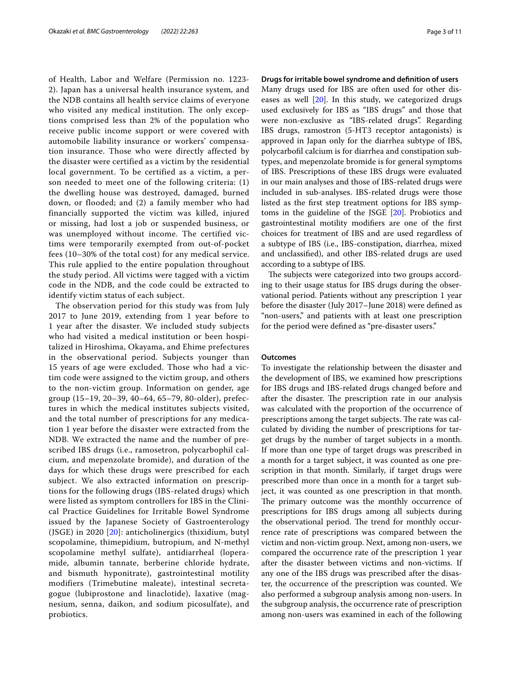of Health, Labor and Welfare (Permission no. 1223- 2). Japan has a universal health insurance system, and the NDB contains all health service claims of everyone who visited any medical institution. The only exceptions comprised less than 2% of the population who receive public income support or were covered with automobile liability insurance or workers' compensation insurance. Those who were directly affected by the disaster were certified as a victim by the residential local government. To be certified as a victim, a person needed to meet one of the following criteria: (1) the dwelling house was destroyed, damaged, burned down, or flooded; and (2) a family member who had financially supported the victim was killed, injured or missing, had lost a job or suspended business, or was unemployed without income. The certified victims were temporarily exempted from out-of-pocket fees (10–30% of the total cost) for any medical service. This rule applied to the entire population throughout the study period. All victims were tagged with a victim code in the NDB, and the code could be extracted to identify victim status of each subject.

The observation period for this study was from July 2017 to June 2019, extending from 1 year before to 1 year after the disaster. We included study subjects who had visited a medical institution or been hospitalized in Hiroshima, Okayama, and Ehime prefectures in the observational period. Subjects younger than 15 years of age were excluded. Those who had a victim code were assigned to the victim group, and others to the non-victim group. Information on gender, age group (15–19, 20–39, 40–64, 65–79, 80-older), prefectures in which the medical institutes subjects visited, and the total number of prescriptions for any medication 1 year before the disaster were extracted from the NDB. We extracted the name and the number of prescribed IBS drugs (i.e., ramosetron, polycarbophil calcium, and mepenzolate bromide), and duration of the days for which these drugs were prescribed for each subject. We also extracted information on prescriptions for the following drugs (IBS-related drugs) which were listed as symptom controllers for IBS in the Clinical Practice Guidelines for Irritable Bowel Syndrome issued by the Japanese Society of Gastroenterology (JSGE) in 2020 [\[20\]](#page-9-18): anticholinergics (thixidium, butyl scopolamine, thimepidium, butropium, and N-methyl scopolamine methyl sulfate), antidiarrheal (loperamide, albumin tannate, berberine chloride hydrate, and bismuth hyponitrate), gastrointestinal motility modifiers (Trimebutine maleate), intestinal secretagogue (lubiprostone and linaclotide), laxative (magnesium, senna, daikon, and sodium picosulfate), and probiotics.

## **Drugs for irritable bowel syndrome and defnition of users**

Many drugs used for IBS are often used for other diseases as well [\[20](#page-9-18)]. In this study, we categorized drugs used exclusively for IBS as "IBS drugs" and those that were non-exclusive as "IBS-related drugs". Regarding IBS drugs, ramostron (5-HT3 receptor antagonists) is approved in Japan only for the diarrhea subtype of IBS, polycarbofl calcium is for diarrhea and constipation subtypes, and mepenzolate bromide is for general symptoms of IBS. Prescriptions of these IBS drugs were evaluated in our main analyses and those of IBS-related drugs were included in sub-analyses. IBS-related drugs were those listed as the frst step treatment options for IBS symptoms in the guideline of the JSGE [\[20](#page-9-18)]. Probiotics and gastrointestinal motility modifers are one of the frst choices for treatment of IBS and are used regardless of a subtype of IBS (i.e., IBS-constipation, diarrhea, mixed and unclassifed), and other IBS-related drugs are used according to a subtype of IBS.

The subjects were categorized into two groups according to their usage status for IBS drugs during the observational period. Patients without any prescription 1 year before the disaster (July 2017–June 2018) were defned as "non-users," and patients with at least one prescription for the period were defned as "pre-disaster users."

### **Outcomes**

To investigate the relationship between the disaster and the development of IBS, we examined how prescriptions for IBS drugs and IBS-related drugs changed before and after the disaster. The prescription rate in our analysis was calculated with the proportion of the occurrence of prescriptions among the target subjects. The rate was calculated by dividing the number of prescriptions for target drugs by the number of target subjects in a month. If more than one type of target drugs was prescribed in a month for a target subject, it was counted as one prescription in that month. Similarly, if target drugs were prescribed more than once in a month for a target subject, it was counted as one prescription in that month. The primary outcome was the monthly occurrence of prescriptions for IBS drugs among all subjects during the observational period. The trend for monthly occurrence rate of prescriptions was compared between the victim and non-victim group. Next, among non-users, we compared the occurrence rate of the prescription 1 year after the disaster between victims and non-victims. If any one of the IBS drugs was prescribed after the disaster, the occurrence of the prescription was counted. We also performed a subgroup analysis among non-users. In the subgroup analysis, the occurrence rate of prescription among non-users was examined in each of the following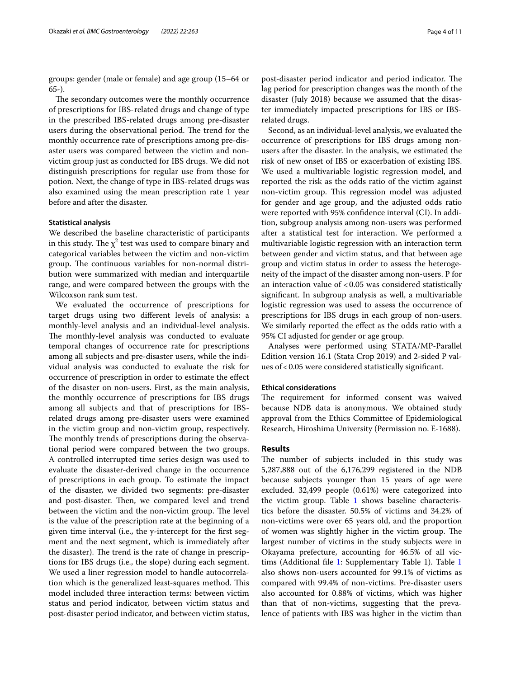groups: gender (male or female) and age group (15–64 or 65-).

The secondary outcomes were the monthly occurrence of prescriptions for IBS-related drugs and change of type in the prescribed IBS-related drugs among pre-disaster users during the observational period. The trend for the monthly occurrence rate of prescriptions among pre-disaster users was compared between the victim and nonvictim group just as conducted for IBS drugs. We did not distinguish prescriptions for regular use from those for potion. Next, the change of type in IBS-related drugs was also examined using the mean prescription rate 1 year before and after the disaster.

## **Statistical analysis**

We described the baseline characteristic of participants in this study. The  $\chi^2$  test was used to compare binary and categorical variables between the victim and non-victim group. The continuous variables for non-normal distribution were summarized with median and interquartile range, and were compared between the groups with the Wilcoxson rank sum test.

We evaluated the occurrence of prescriptions for target drugs using two diferent levels of analysis: a monthly-level analysis and an individual-level analysis. The monthly-level analysis was conducted to evaluate temporal changes of occurrence rate for prescriptions among all subjects and pre-disaster users, while the individual analysis was conducted to evaluate the risk for occurrence of prescription in order to estimate the efect of the disaster on non-users. First, as the main analysis, the monthly occurrence of prescriptions for IBS drugs among all subjects and that of prescriptions for IBSrelated drugs among pre-disaster users were examined in the victim group and non-victim group, respectively. The monthly trends of prescriptions during the observational period were compared between the two groups. A controlled interrupted time series design was used to evaluate the disaster-derived change in the occurrence of prescriptions in each group. To estimate the impact of the disaster, we divided two segments: pre-disaster and post-disaster. Then, we compared level and trend between the victim and the non-victim group. The level is the value of the prescription rate at the beginning of a given time interval (i.e., the y-intercept for the frst segment and the next segment, which is immediately after the disaster). The trend is the rate of change in prescriptions for IBS drugs (i.e., the slope) during each segment. We used a liner regression model to handle autocorrelation which is the generalized least-squares method. This model included three interaction terms: between victim status and period indicator, between victim status and post-disaster period indicator, and between victim status, post-disaster period indicator and period indicator. The lag period for prescription changes was the month of the disaster (July 2018) because we assumed that the disaster immediately impacted prescriptions for IBS or IBSrelated drugs.

Second, as an individual-level analysis, we evaluated the occurrence of prescriptions for IBS drugs among nonusers after the disaster. In the analysis, we estimated the risk of new onset of IBS or exacerbation of existing IBS. We used a multivariable logistic regression model, and reported the risk as the odds ratio of the victim against non-victim group. This regression model was adjusted for gender and age group, and the adjusted odds ratio were reported with 95% confdence interval (CI). In addition, subgroup analysis among non-users was performed after a statistical test for interaction. We performed a multivariable logistic regression with an interaction term between gender and victim status, and that between age group and victim status in order to assess the heterogeneity of the impact of the disaster among non-users. P for an interaction value of  $< 0.05$  was considered statistically signifcant. In subgroup analysis as well, a multivariable logistic regression was used to assess the occurrence of prescriptions for IBS drugs in each group of non-users. We similarly reported the efect as the odds ratio with a 95% CI adjusted for gender or age group.

Analyses were performed using STATA/MP-Parallel Edition version 16.1 (Stata Crop 2019) and 2-sided P values of  $<$  0.05 were considered statistically significant.

# **Ethical considerations**

The requirement for informed consent was waived because NDB data is anonymous. We obtained study approval from the Ethics Committee of Epidemiological Research, Hiroshima University (Permission no. E-1688).

## **Results**

The number of subjects included in this study was 5,287,888 out of the 6,176,299 registered in the NDB because subjects younger than 15 years of age were excluded. 32,499 people (0.61%) were categorized into the victim group. Table [1](#page-4-0) shows baseline characteristics before the disaster. 50.5% of victims and 34.2% of non-victims were over 65 years old, and the proportion of women was slightly higher in the victim group. The largest number of victims in the study subjects were in Okayama prefecture, accounting for 46.5% of all victims (Additional fle [1](#page-8-0): Supplementary Table 1). Table [1](#page-4-0) also shows non-users accounted for 99.1% of victims as compared with 99.4% of non-victims. Pre-disaster users also accounted for 0.88% of victims, which was higher than that of non-victims, suggesting that the prevalence of patients with IBS was higher in the victim than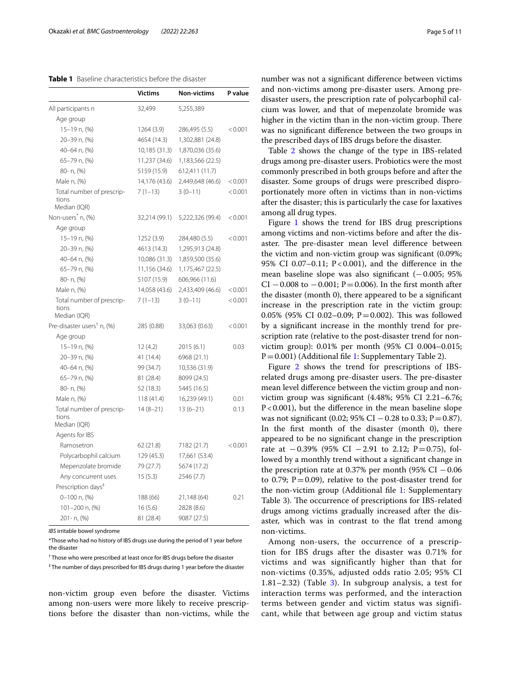## <span id="page-4-0"></span>**Table 1** Baseline characteristics before the disaster

|                                                    | <b>Victims</b> | <b>Non-victims</b> | P value |
|----------------------------------------------------|----------------|--------------------|---------|
| All participants n                                 | 32,499         | 5,255,389          |         |
| Age group                                          |                |                    |         |
| 15-19 n, (%)                                       | 1264 (3.9)     | 286,495 (5.5)      | < 0.001 |
| 20-39 n, (%)                                       | 4654 (14.3)    | 1,302,881 (24.8)   |         |
| 40-64 n, (%)                                       | 10,185 (31.3)  | 1,870,036 (35.6)   |         |
| 65-79 n, (%)                                       | 11,237 (34.6)  | 1,183,566 (22.5)   |         |
| 80- n, (%)                                         | 5159 (15.9)    | 612,411 (11.7)     |         |
| Male n, (%)                                        | 14,176 (43.6)  | 2,449,648 (46.6)   | < 0.001 |
| Total number of prescrip-<br>tions<br>Median (IQR) | $7(1-13)$      | $3(0-11)$          | < 0.001 |
| Non-users <sup>*</sup> n, (%)                      | 32,214 (99.1)  | 5,222,326 (99.4)   | < 0.001 |
| Age group                                          |                |                    |         |
| 15-19 n, (%)                                       | 1252 (3.9)     | 284,480 (5.5)      | < 0.001 |
| 20-39 n, (%)                                       | 4613 (14.3)    | 1,295,913 (24.8)   |         |
| 40-64 n, (%)                                       | 10,086 (31.3)  | 1,859,500 (35.6)   |         |
| 65-79 n, (%)                                       | 11,156 (34.6)  | 1,175,467 (22.5)   |         |
| 80- n, (%)                                         | 5107 (15.9)    | 606,966 (11.6)     |         |
| Male n, (%)                                        | 14,058 (43.6)  | 2,433,409 (46.6)   | < 0.001 |
| Total number of prescrip-<br>tions<br>Median (IQR) | $7(1-13)$      | $3(0-11)$          | < 0.001 |
| Pre-disaster users <sup>†</sup> n, (%)             | 285 (0.88)     | 33,063 (0.63)      | < 0.001 |
| Age group                                          |                |                    |         |
| 15-19 n, (%)                                       | 12(4.2)        | 2015 (6.1)         | 0.03    |
| 20-39 n, (%)                                       | 41 (14.4)      | 6968 (21.1)        |         |
| 40-64 n, (%)                                       | 99 (34.7)      | 10,536 (31.9)      |         |
| 65-79 n, (%)                                       | 81 (28.4)      | 8099 (24.5)        |         |
| 80- n, (%)                                         | 52 (18.3)      | 5445 (16.5)        |         |
| Male n, (%)                                        | 118 (41.4)     | 16,239 (49.1)      | 0.01    |
| Total number of prescrip-<br>tions<br>Median (IQR) | $14(8-21)$     | $13(6-21)$         | 0.13    |
| Agents for IBS                                     |                |                    |         |
| Ramosetron                                         | 62 (21.8)      | 7182 (21.7)        | < 0.001 |
| Polycarbophil calcium                              | 129 (45.3)     | 17,661 (53.4)      |         |
| Mepenzolate bromide                                | 79 (27.7)      | 5674 (17.2)        |         |
| Any concurrent uses                                | 15(5.3)        | 2546 (7.7)         |         |
| Prescription days <sup>#</sup>                     |                |                    |         |
| $0-100$ n, $(\%)$                                  | 188 (66)       | 21,148 (64)        | 0.21    |
| 101-200 n, (%)                                     | 16(5.6)        | 2828 (8.6)         |         |
| 201-n, (%)                                         | 81 (28.4)      | 9087 (27.5)        |         |

*IBS* irritable bowel syndrome

\*Those who had no history of IBS drugs use during the period of 1 year before the disaster

† Those who were prescribed at least once for IBS drugs before the disaster

‡ The number of days prescribed for IBS drugs during 1 year before the disaster

non-victim group even before the disaster. Victims among non-users were more likely to receive prescriptions before the disaster than non-victims, while the number was not a signifcant diference between victims and non-victims among pre-disaster users. Among predisaster users, the prescription rate of polycarbophil calcium was lower, and that of mepenzolate bromide was higher in the victim than in the non-victim group. There was no signifcant diference between the two groups in the prescribed days of IBS drugs before the disaster.

Table [2](#page-5-0) shows the change of the type in IBS-related drugs among pre-disaster users. Probiotics were the most commonly prescribed in both groups before and after the disaster. Some groups of drugs were prescribed disproportionately more often in victims than in non-victims after the disaster; this is particularly the case for laxatives among all drug types.

Figure [1](#page-5-1) shows the trend for IBS drug prescriptions among victims and non-victims before and after the disaster. The pre-disaster mean level difference between the victim and non-victim group was signifcant (0.09%; 95% CI 0.07-0.11;  $P < 0.001$ ), and the difference in the mean baseline slope was also signifcant (−0.005; 95% CI  $-0.008$  to  $-0.001$ ; P=0.006). In the first month after the disaster (month 0), there appeared to be a signifcant increase in the prescription rate in the victim group: 0.05% (95% CI 0.02–0.09;  $P = 0.002$ ). This was followed by a signifcant increase in the monthly trend for prescription rate (relative to the post-disaster trend for nonvictim group): 0.01% per month (95% CI 0.004–0.015;  $P=0.001$  $P=0.001$ ) (Additional file 1: Supplementary Table 2).

Figure [2](#page-6-0) shows the trend for prescriptions of IBSrelated drugs among pre-disaster users. The pre-disaster mean level diference between the victim group and nonvictim group was signifcant (4.48%; 95% CI 2.21–6.76; P<0.001), but the diference in the mean baseline slope was not significant (0.02; 95% CI  $-0.28$  to 0.33; P = 0.87). In the frst month of the disaster (month 0), there appeared to be no signifcant change in the prescription rate at  $-0.39\%$  (95% CI  $-2.91$  to 2.12; P=0.75), followed by a monthly trend without a signifcant change in the prescription rate at 0.37% per month (95% CI  $-0.06$ ) to 0.79;  $P = 0.09$ ), relative to the post-disaster trend for the non-victim group (Additional file [1](#page-8-0): Supplementary Table 3). The occurrence of prescriptions for IBS-related drugs among victims gradually increased after the disaster, which was in contrast to the fat trend among non-victims.

Among non-users, the occurrence of a prescription for IBS drugs after the disaster was 0.71% for victims and was significantly higher than that for non-victims (0.35%, adjusted odds ratio 2.05; 95% CI 1.81–2.[3](#page-6-1)2) (Table  $3$ ). In subgroup analysis, a test for interaction terms was performed, and the interaction terms between gender and victim status was significant, while that between age group and victim status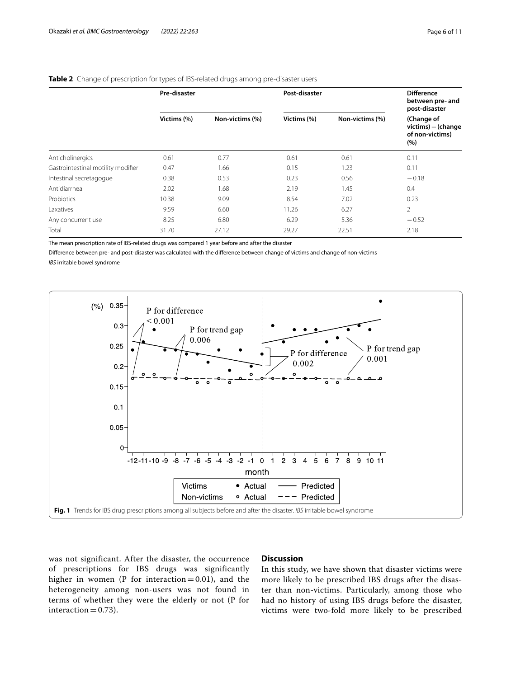# <span id="page-5-0"></span>**Table 2** Change of prescription for types of IBS-related drugs among pre-disaster users

|                                    | Pre-disaster |                 | Post-disaster |                 | <b>Difference</b><br>between pre- and<br>post-disaster      |  |
|------------------------------------|--------------|-----------------|---------------|-----------------|-------------------------------------------------------------|--|
|                                    | Victims (%)  | Non-victims (%) | Victims (%)   | Non-victims (%) | (Change of<br>$victims$ – (change<br>of non-victims)<br>(%) |  |
| Anticholinergics                   | 0.61         | 0.77            | 0.61          | 0.61            | 0.11                                                        |  |
| Gastrointestinal motility modifier | 0.47         | 1.66            | 0.15          | 1.23            | 0.11                                                        |  |
| Intestinal secretagogue            | 0.38         | 0.53            | 0.23          | 0.56            | $-0.18$                                                     |  |
| Antidiarrheal                      | 2.02         | 1.68            | 2.19          | 1.45            | 0.4                                                         |  |
| Probiotics                         | 10.38        | 9.09            | 8.54          | 7.02            | 0.23                                                        |  |
| Laxatives                          | 9.59         | 6.60            | 11.26         | 6.27            | $\overline{2}$                                              |  |
| Any concurrent use                 | 8.25         | 6.80            | 6.29          | 5.36            | $-0.52$                                                     |  |
| Total                              | 31.70        | 27.12           | 29.27         | 22.51           | 2.18                                                        |  |

The mean prescription rate of IBS-related drugs was compared 1 year before and after the disaster

Diference between pre- and post-disaster was calculated with the diference between change of victims and change of non-victims *IBS* irritable bowel syndrome



<span id="page-5-1"></span>was not significant. After the disaster, the occurrence of prescriptions for IBS drugs was significantly higher in women (P for interaction  $= 0.01$ ), and the heterogeneity among non-users was not found in terms of whether they were the elderly or not (P for interaction  $= 0.73$ ).

## **Discussion**

In this study, we have shown that disaster victims were more likely to be prescribed IBS drugs after the disaster than non-victims. Particularly, among those who had no history of using IBS drugs before the disaster, victims were two-fold more likely to be prescribed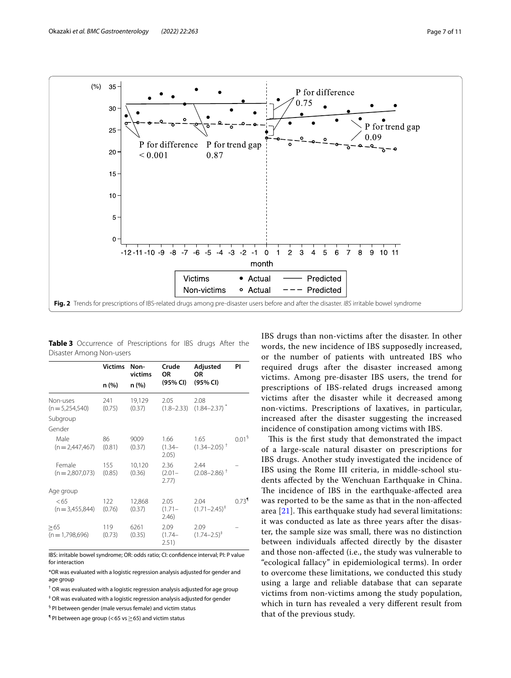

<span id="page-6-1"></span><span id="page-6-0"></span>**Table 3** Occurrence of Prescriptions for IBS drugs After the Disaster Among Non-users

|                             | <b>Victims</b> | Non-<br>victims  | Crude<br>OR                | Adjusted<br><b>OR</b>                | PI                  |
|-----------------------------|----------------|------------------|----------------------------|--------------------------------------|---------------------|
|                             | n (%)          | n (%)            | (95% CI)                   | (95% CI)                             |                     |
| Non-uses<br>$(n=5,254,540)$ | 241<br>(0.75)  | 19,129<br>(0.37) | 2.05<br>$(1.8 - 2.33)$     | 2.08<br>$(1.84 - 2.37)^*$            |                     |
| Subgroup                    |                |                  |                            |                                      |                     |
| Gender                      |                |                  |                            |                                      |                     |
| Male<br>$(n=2,447,467)$     | 86<br>(0.81)   | 9009<br>(0.37)   | 1.66<br>$(1.34 -$<br>2.05) | 1.65<br>$(1.34 - 2.05)^+$            | 0.01 <sup>5</sup>   |
| Female<br>$(n=2,807,073)$   | 155<br>(0.85)  | 10,120<br>(0.36) | 2.36<br>$(2.01 -$<br>2.77) | 2.44<br>$(2.08 - 2.86)$ <sup>+</sup> |                     |
| Age group                   |                |                  |                            |                                      |                     |
| <65<br>$(n = 3,455,844)$    | 122<br>(0.76)  | 12,868<br>(0.37) | 2.05<br>$(1.71 -$<br>2.46) | 2.04<br>$(1.71 - 2.45)^{+}$          | $0.73$ <sup>1</sup> |
| >65<br>$(n=1,798,696)$      | 119<br>(0.73)  | 6261<br>(0.35)   | 2.09<br>$(1.74 -$<br>2.51) | 2.09<br>$(1.74 - 2.5)^{+}$           |                     |

IBS: irritable bowel syndrome; OR: odds ratio; CI: confdence interval; PI: P value for interaction

\*OR was evaluated with a logistic regression analysis adjusted for gender and age group

† OR was evaluated with a logistic regression analysis adjusted for age group

‡ OR was evaluated with a logistic regression analysis adjusted for gender

<sup>§</sup> PI between gender (male versus female) and victim status

 $\P$  PI between age group (< 65 vs  $\geq$  65) and victim status

IBS drugs than non-victims after the disaster. In other words, the new incidence of IBS supposedly increased, or the number of patients with untreated IBS who required drugs after the disaster increased among victims. Among pre-disaster IBS users, the trend for prescriptions of IBS-related drugs increased among victims after the disaster while it decreased among non-victims. Prescriptions of laxatives, in particular, increased after the disaster suggesting the increased incidence of constipation among victims with IBS.

This is the first study that demonstrated the impact of a large-scale natural disaster on prescriptions for IBS drugs. Another study investigated the incidence of IBS using the Rome III criteria, in middle-school students afected by the Wenchuan Earthquake in China. The incidence of IBS in the earthquake-affected area was reported to be the same as that in the non-afected area  $[21]$  $[21]$  $[21]$ . This earthquake study had several limitations: it was conducted as late as three years after the disaster, the sample size was small, there was no distinction between individuals afected directly by the disaster and those non-afected (i.e., the study was vulnerable to "ecological fallacy" in epidemiological terms). In order to overcome these limitations, we conducted this study using a large and reliable database that can separate victims from non-victims among the study population, which in turn has revealed a very diferent result from that of the previous study.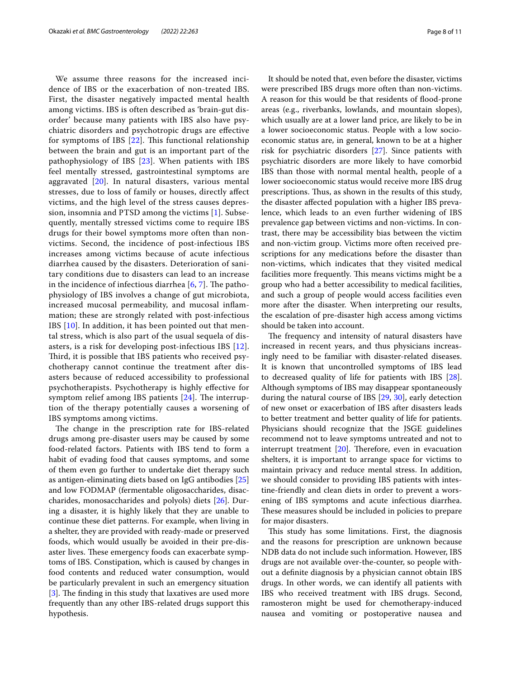We assume three reasons for the increased incidence of IBS or the exacerbation of non-treated IBS. First, the disaster negatively impacted mental health among victims. IBS is often described as 'brain-gut disorder' because many patients with IBS also have psychiatric disorders and psychotropic drugs are efective for symptoms of IBS  $[22]$  $[22]$  $[22]$ . This functional relationship between the brain and gut is an important part of the pathophysiology of IBS [[23](#page-9-21)]. When patients with IBS feel mentally stressed, gastrointestinal symptoms are aggravated [[20\]](#page-9-18). In natural disasters, various mental stresses, due to loss of family or houses, directly afect victims, and the high level of the stress causes depression, insomnia and PTSD among the victims [\[1](#page-9-0)]. Subsequently, mentally stressed victims come to require IBS drugs for their bowel symptoms more often than nonvictims. Second, the incidence of post-infectious IBS increases among victims because of acute infectious diarrhea caused by the disasters. Deterioration of sanitary conditions due to disasters can lead to an increase in the incidence of infectious diarrhea  $[6, 7]$  $[6, 7]$  $[6, 7]$  $[6, 7]$ . The pathophysiology of IBS involves a change of gut microbiota, increased mucosal permeability, and mucosal infammation; these are strongly related with post-infectious IBS [\[10\]](#page-9-9). In addition, it has been pointed out that mental stress, which is also part of the usual sequela of disasters, is a risk for developing post-infectious IBS [[12](#page-9-11)]. Third, it is possible that IBS patients who received psychotherapy cannot continue the treatment after disasters because of reduced accessibility to professional psychotherapists. Psychotherapy is highly efective for symptom relief among IBS patients  $[24]$  $[24]$  $[24]$ . The interruption of the therapy potentially causes a worsening of IBS symptoms among victims.

The change in the prescription rate for IBS-related drugs among pre-disaster users may be caused by some food-related factors. Patients with IBS tend to form a habit of evading food that causes symptoms, and some of them even go further to undertake diet therapy such as antigen-eliminating diets based on IgG antibodies [[25](#page-9-23)] and low FODMAP (fermentable oligosaccharides, disaccharides, monosaccharides and polyols) diets [\[26\]](#page-9-24). During a disaster, it is highly likely that they are unable to continue these diet patterns. For example, when living in a shelter, they are provided with ready-made or preserved foods, which would usually be avoided in their pre-disaster lives. These emergency foods can exacerbate symptoms of IBS. Constipation, which is caused by changes in food contents and reduced water consumption, would be particularly prevalent in such an emergency situation [[3\]](#page-9-2). The finding in this study that laxatives are used more frequently than any other IBS-related drugs support this hypothesis.

It should be noted that, even before the disaster, victims were prescribed IBS drugs more often than non-victims. A reason for this would be that residents of flood-prone areas (e.g., riverbanks, lowlands, and mountain slopes), which usually are at a lower land price, are likely to be in a lower socioeconomic status. People with a low socioeconomic status are, in general, known to be at a higher risk for psychiatric disorders [\[27](#page-9-25)]. Since patients with psychiatric disorders are more likely to have comorbid IBS than those with normal mental health, people of a lower socioeconomic status would receive more IBS drug prescriptions. Thus, as shown in the results of this study, the disaster afected population with a higher IBS prevalence, which leads to an even further widening of IBS prevalence gap between victims and non-victims. In contrast, there may be accessibility bias between the victim and non-victim group. Victims more often received prescriptions for any medications before the disaster than non-victims, which indicates that they visited medical facilities more frequently. This means victims might be a group who had a better accessibility to medical facilities, and such a group of people would access facilities even more after the disaster. When interpreting our results, the escalation of pre-disaster high access among victims should be taken into account.

The frequency and intensity of natural disasters have increased in recent years, and thus physicians increasingly need to be familiar with disaster-related diseases. It is known that uncontrolled symptoms of IBS lead to decreased quality of life for patients with IBS [\[28](#page-9-26)]. Although symptoms of IBS may disappear spontaneously during the natural course of IBS [\[29](#page-9-27), [30](#page-9-28)], early detection of new onset or exacerbation of IBS after disasters leads to better treatment and better quality of life for patients. Physicians should recognize that the JSGE guidelines recommend not to leave symptoms untreated and not to interrupt treatment  $[20]$  $[20]$  $[20]$ . Therefore, even in evacuation shelters, it is important to arrange space for victims to maintain privacy and reduce mental stress. In addition, we should consider to providing IBS patients with intestine-friendly and clean diets in order to prevent a worsening of IBS symptoms and acute infectious diarrhea. These measures should be included in policies to prepare for major disasters.

This study has some limitations. First, the diagnosis and the reasons for prescription are unknown because NDB data do not include such information. However, IBS drugs are not available over-the-counter, so people without a defnite diagnosis by a physician cannot obtain IBS drugs. In other words, we can identify all patients with IBS who received treatment with IBS drugs. Second, ramosteron might be used for chemotherapy-induced nausea and vomiting or postoperative nausea and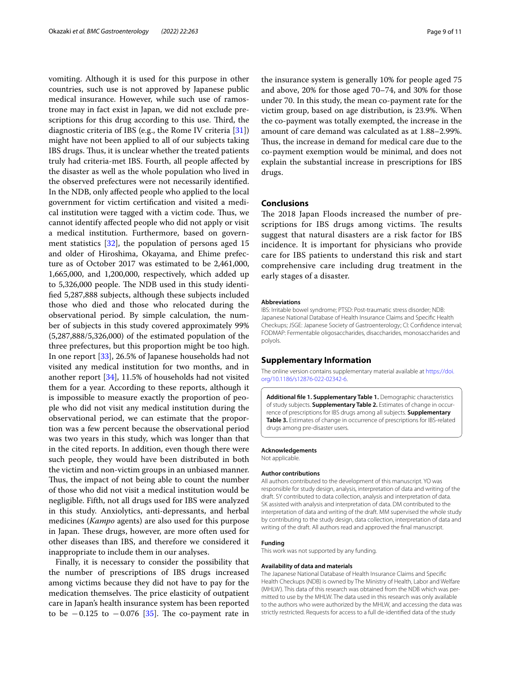vomiting. Although it is used for this purpose in other countries, such use is not approved by Japanese public medical insurance. However, while such use of ramostrone may in fact exist in Japan, we did not exclude prescriptions for this drug according to this use. Third, the diagnostic criteria of IBS (e.g., the Rome IV criteria [\[31](#page-9-29)]) might have not been applied to all of our subjects taking IBS drugs. Thus, it is unclear whether the treated patients truly had criteria-met IBS. Fourth, all people afected by the disaster as well as the whole population who lived in the observed prefectures were not necessarily identifed. In the NDB, only afected people who applied to the local government for victim certifcation and visited a medical institution were tagged with a victim code. Thus, we cannot identify afected people who did not apply or visit a medical institution. Furthermore, based on government statistics [[32\]](#page-9-30), the population of persons aged 15 and older of Hiroshima, Okayama, and Ehime prefecture as of October 2017 was estimated to be 2,461,000, 1,665,000, and 1,200,000, respectively, which added up to 5,326,000 people. The NDB used in this study identifed 5,287,888 subjects, although these subjects included those who died and those who relocated during the observational period. By simple calculation, the number of subjects in this study covered approximately 99% (5,287,888/5,326,000) of the estimated population of the three prefectures, but this proportion might be too high. In one report [\[33](#page-9-31)], 26.5% of Japanese households had not visited any medical institution for two months, and in another report [[34](#page-9-32)], 11.5% of households had not visited them for a year. According to these reports, although it is impossible to measure exactly the proportion of people who did not visit any medical institution during the observational period, we can estimate that the proportion was a few percent because the observational period was two years in this study, which was longer than that in the cited reports. In addition, even though there were such people, they would have been distributed in both the victim and non-victim groups in an unbiased manner. Thus, the impact of not being able to count the number of those who did not visit a medical institution would be negligible. Fifth, not all drugs used for IBS were analyzed in this study. Anxiolytics, anti-depressants, and herbal medicines (*Kampo* agents) are also used for this purpose in Japan. These drugs, however, are more often used for other diseases than IBS, and therefore we considered it inappropriate to include them in our analyses.

Finally, it is necessary to consider the possibility that the number of prescriptions of IBS drugs increased among victims because they did not have to pay for the medication themselves. The price elasticity of outpatient care in Japan's health insurance system has been reported to be  $-0.125$  to  $-0.076$  [[35\]](#page-9-33). The co-payment rate in

the insurance system is generally 10% for people aged 75 and above, 20% for those aged 70–74, and 30% for those under 70. In this study, the mean co-payment rate for the victim group, based on age distribution, is 23.9%. When the co-payment was totally exempted, the increase in the amount of care demand was calculated as at 1.88–2.99%. Thus, the increase in demand for medical care due to the co-payment exemption would be minimal, and does not explain the substantial increase in prescriptions for IBS drugs.

## **Conclusions**

The 2018 Japan Floods increased the number of prescriptions for IBS drugs among victims. The results suggest that natural disasters are a risk factor for IBS incidence. It is important for physicians who provide care for IBS patients to understand this risk and start comprehensive care including drug treatment in the early stages of a disaster.

#### **Abbreviations**

IBS: Irritable bowel syndrome; PTSD: Post-traumatic stress disorder; NDB: Japanese National Database of Health Insurance Claims and Specifc Health Checkups; JSGE: Japanese Society of Gastroenterology; CI: Confdence interval; FODMAP: Fermentable oligosaccharides, disaccharides, monosaccharides and polyols.

## **Supplementary Information**

The online version contains supplementary material available at [https://doi.](https://doi.org/10.1186/s12876-022-02342-6) [org/10.1186/s12876-022-02342-6](https://doi.org/10.1186/s12876-022-02342-6).

<span id="page-8-0"></span>**Additional fle 1. Supplementary Table 1.** Demographic characteristics of study subjects. **Supplementary Table 2.** Estimates of change in occurrence of prescriptions for IBS drugs among all subjects. **Supplementary Table 3.** Estimates of change in occurrence of prescriptions for IBS-related drugs among pre-disaster users.

#### **Acknowledgements**

Not applicable.

## **Author contributions**

All authors contributed to the development of this manuscript. YO was responsible for study design, analysis, interpretation of data and writing of the draft. SY contributed to data collection, analysis and interpretation of data. SK assisted with analysis and interpretation of data. DM contributed to the interpretation of data and writing of the draft. MM supervised the whole study by contributing to the study design, data collection, interpretation of data and writing of the draft. All authors read and approved the fnal manuscript.

#### **Funding**

This work was not supported by any funding.

#### **Availability of data and materials**

The Japanese National Database of Health Insurance Claims and Specifc Health Checkups (NDB) is owned by The Ministry of Health, Labor and Welfare (MHLW). This data of this research was obtained from the NDB which was permitted to use by the MHLW. The data used in this research was only available to the authors who were authorized by the MHLW, and accessing the data was strictly restricted. Requests for access to a full de-identifed data of the study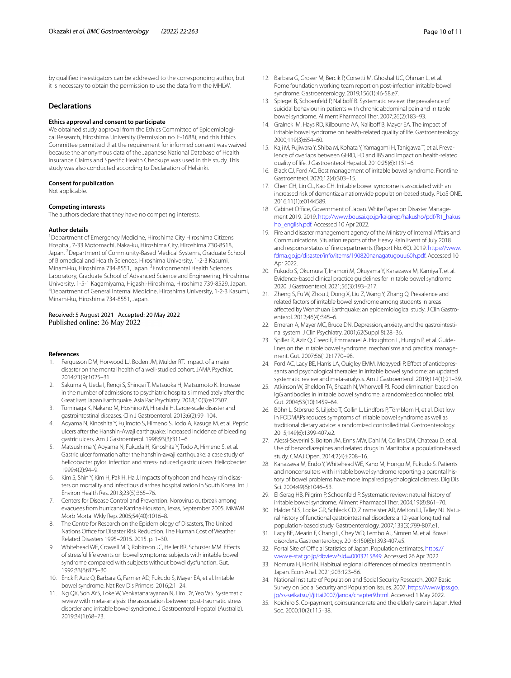by qualifed investigators can be addressed to the corresponding author, but it is necessary to obtain the permission to use the data from the MHLW.

## **Declarations**

### **Ethics approval and consent to participate**

We obtained study approval from the Ethics Committee of Epidemiological Research, Hiroshima University (Permission no. E-1688), and this Ethics Committee permitted that the requirement for informed consent was waived because the anonymous data of the Japanese National Database of Health Insurance Claims and Specifc Health Checkups was used in this study. This study was also conducted according to Declaration of Helsinki.

#### **Consent for publication**

Not applicable.

#### **Competing interests**

The authors declare that they have no competing interests.

### **Author details**

<sup>1</sup> Department of Emergency Medicine, Hiroshima City Hiroshima Citizens Hospital, 7-33 Motomachi, Naka-ku, Hiroshima City, Hiroshima 730-8518, Japan.<sup>2</sup> Department of Community-Based Medical Systems, Graduate School of Biomedical and Health Sciences, Hiroshima University, 1-2-3 Kasumi, Minami-ku, Hiroshima 734-8551, Japan. <sup>3</sup> Environmental Health Sciences Laboratory, Graduate School of Advanced Science and Engineering, Hiroshima University, 1-5-1 Kagamiyama, Higashi-Hiroshima, Hiroshima 739-8529, Japan. 4 Department of General Internal Medicine, Hiroshima University, 1-2-3 Kasumi, Minami-ku, Hiroshima 734-8551, Japan.

## Received: 5 August 2021 Accepted: 20 May 2022 Published online: 26 May 2022

#### **References**

- <span id="page-9-0"></span>1. Fergusson DM, Horwood LJ, Boden JM, Mulder RT. Impact of a major disaster on the mental health of a well-studied cohort. JAMA Psychiat. 2014;71(9):1025–31.
- <span id="page-9-1"></span>2. Sakuma A, Ueda I, Rengi S, Shingai T, Matsuoka H, Matsumoto K. Increase in the number of admissions to psychiatric hospitals immediately after the Great East Japan Earthquake. Asia Pac Psychiatry. 2018;10(3):e12307.
- <span id="page-9-2"></span>3. Tominaga K, Nakano M, Hoshino M, Hiraishi H. Large-scale disaster and gastrointestinal diseases. Clin J Gastroenterol. 2013;6(2):99–104.
- <span id="page-9-3"></span>4. Aoyama N, Kinoshita Y, Fujimoto S, Himeno S, Todo A, Kasuga M, et al. Peptic ulcers after the Hanshin-Awaji earthquake: increased incidence of bleeding gastric ulcers. Am J Gastroenterol. 1998;93(3):311–6.
- <span id="page-9-4"></span>5. Matsushima Y, Aoyama N, Fukuda H, Kinoshita Y, Todo A, Himeno S, et al. Gastric ulcer formation after the hanshin-awaji earthquake: a case study of helicobacter pylori infection and stress-induced gastric ulcers. Helicobacter. 1999;4(2):94–9.
- <span id="page-9-5"></span>6. Kim S, Shin Y, Kim H, Pak H, Ha J. Impacts of typhoon and heavy rain disasters on mortality and infectious diarrhea hospitalization in South Korea. Int J Environ Health Res. 2013;23(5):365–76.
- <span id="page-9-6"></span>7. Centers for Disease Control and Prevention. Norovirus outbreak among evacuees from hurricane Katrina-Houston, Texas, September 2005. MMWR Morb Mortal Wkly Rep. 2005;54(40):1016–8.
- <span id="page-9-7"></span>8. The Centre for Research on the Epidemiology of Disasters, The United Nations Office for Disaster Risk Reduction. The Human Cost of Weather Related Disasters 1995–2015. 2015. p. 1–30.
- <span id="page-9-8"></span>9. Whitehead WE, Crowell MD, Robinson JC, Heller BR, Schuster MM. Efects of stressful life events on bowel symptoms: subjects with irritable bowel syndrome compared with subjects without bowel dysfunction. Gut. 1992;33(6):825–30.
- <span id="page-9-9"></span>10. Enck P, Aziz Q, Barbara G, Farmer AD, Fukudo S, Mayer EA, et al. Irritable bowel syndrome. Nat Rev Dis Primers. 2016;2:1–24.
- <span id="page-9-10"></span>11. Ng QX, Soh AYS, Loke W, Venkatanarayanan N, Lim DY, Yeo WS. Systematic review with meta-analysis: the association between post-traumatic stress disorder and irritable bowel syndrome. J Gastroenterol Hepatol (Australia). 2019;34(1):68–73.
- <span id="page-9-11"></span>12. Barbara G, Grover M, Bercik P, Corsetti M, Ghoshal UC, Ohman L, et al. Rome foundation working team report on post-infection irritable bowel syndrome. Gastroenterology. 2019;156(1):46-58.e7.
- <span id="page-9-12"></span>13. Spiegel B, Schoenfeld P, Naliboff B. Systematic review: the prevalence of suicidal behaviour in patients with chronic abdominal pain and irritable bowel syndrome. Aliment Pharmacol Ther. 2007;26(2):183–93.
- <span id="page-9-13"></span>14. Gralnek IM, Hays RD, Kilbourne AA, Naliboff B, Mayer EA. The impact of irritable bowel syndrome on health-related quality of life. Gastroenterology. 2000;119(3):654–60.
- 15. Kaji M, Fujiwara Y, Shiba M, Kohata Y, Yamagami H, Tanigawa T, et al. Prevalence of overlaps between GERD, FD and IBS and impact on health-related quality of life. J Gastroenterol Hepatol. 2010;25(6):1151–6.
- <span id="page-9-14"></span>16. Black CJ, Ford AC. Best management of irritable bowel syndrome. Frontline Gastroenterol. 2020;12(4):303–15.
- <span id="page-9-15"></span>17. Chen CH, Lin CL, Kao CH. Irritable bowel syndrome is associated with an increased risk of dementia: a nationwide population-based study. PLoS ONE. 2016;11(1):e0144589.
- <span id="page-9-16"></span>18. Cabinet Office, Government of Japan. White Paper on Disaster Management 2019. 2019. [http://www.bousai.go.jp/kaigirep/hakusho/pdf/R1\\_hakus](http://www.bousai.go.jp/kaigirep/hakusho/pdf/R1_hakusho_english.pdf) [ho\\_english.pdf.](http://www.bousai.go.jp/kaigirep/hakusho/pdf/R1_hakusho_english.pdf) Accessed 10 Apr 2022.
- <span id="page-9-17"></span>19. Fire and disaster management agency of the Ministry of Internal Afairs and Communications. Situation reports of the Heavy Rain Event of July 2018 and response status of fre departments (Report No. 60). 2019. [https://www.](https://www.fdma.go.jp/disaster/info/items/190820nanagatugouu60h.pdf) [fdma.go.jp/disaster/info/items/190820nanagatugouu60h.pdf.](https://www.fdma.go.jp/disaster/info/items/190820nanagatugouu60h.pdf) Accessed 10 Apr 2022.
- <span id="page-9-18"></span>20. Fukudo S, Okumura T, Inamori M, Okuyama Y, Kanazawa M, Kamiya T, et al. Evidence-based clinical practice guidelines for irritable bowel syndrome 2020. J Gastroenterol. 2021;56(3):193–217.
- <span id="page-9-19"></span>21. Zheng S, Fu W, Zhou J, Dong X, Liu Z, Wang Y, Zhang Q. Prevalence and related factors of irritable bowel syndrome among students in areas afected by Wenchuan Earthquake: an epidemiological study. J Clin Gastroenterol. 2012;46(4):345–6.
- <span id="page-9-20"></span>22. Emeran A, Mayer MC, Bruce DN. Depression, anxiety, and the gastrointestinal system. J Clin Psychiatry. 2001;62(Suppl 8):28–36.
- <span id="page-9-21"></span>23. Spiller R, Aziz Q, Creed F, Emmanuel A, Houghton L, Hungin P, et al. Guidelines on the irritable bowel syndrome: mechanisms and practical management. Gut. 2007;56(12):1770–98.
- <span id="page-9-22"></span>24. Ford AC, Lacy BE, Harris LA, Quigley EMM, Moayyedi P. Effect of antidepressants and psychological therapies in irritable bowel syndrome: an updated systematic review and meta-analysis. Am J Gastroenterol. 2019;114(1):21–39.
- <span id="page-9-23"></span>25. Atkinson W, Sheldon TA, Shaath N, Whorwell PJ. Food elimination based on IgG antibodies in irritable bowel syndrome: a randomised controlled trial. Gut. 2004;53(10):1459–64.
- <span id="page-9-24"></span>26. Böhn L, Störsrud S, Liljebo T, Collin L, Lindfors P, Törnblom H, et al. Diet low in FODMAPs reduces symptoms of irritable bowel syndrome as well as traditional dietary advice: a randomized controlled trial. Gastroenterology. 2015;149(6):1399-407.e2.
- <span id="page-9-25"></span>27. Alessi-Severini S, Bolton JM, Enns MW, Dahl M, Collins DM, Chateau D, et al. Use of benzodiazepines and related drugs in Manitoba: a population-based study. CMAJ Open. 2014;2(4):E208–16.
- <span id="page-9-26"></span>28. Kanazawa M, Endo Y, Whitehead WE, Kano M, Hongo M, Fukudo S. Patients and nonconsulters with irritable bowel syndrome reporting a parental history of bowel problems have more impaired psychological distress. Dig Dis Sci. 2004;49(6):1046–53.
- <span id="page-9-27"></span>29. El-Serag HB, Pilgrim P, Schoenfeld P. Systematic review: natural history of irritable bowel syndrome. Aliment Pharmacol Ther. 2004;19(8):861–70.
- <span id="page-9-28"></span>30. Halder SLS, Locke GR, Schleck CD, Zinsmeister AR, Melton LJ, Talley NJ. Natural history of functional gastrointestinal disorders: a 12-year longitudinal population-based study. Gastroenterology. 2007;133(3):799-807.e1.
- <span id="page-9-29"></span>31. Lacy BE, Mearin F, Chang L, Chey WD, Lembo AJ, Simren M, et al. Bowel disorders. Gastroenterology. 2016;150(6):1393-407.e5.
- <span id="page-9-30"></span>32. Portal Site of Official Statistics of Japan. Population estimates. [https://](https://www.e-stat.go.jp/dbview?sid=0003215849) [www.e-stat.go.jp/dbview?sid](https://www.e-stat.go.jp/dbview?sid=0003215849)=0003215849. Accessed 26 Apr 2022.
- <span id="page-9-31"></span>33. Nomura H, Hori N. Habitual regional diferences of medical treatment in Japan. Econ Anal. 2021;203:123–56.
- <span id="page-9-32"></span>34. National Institute of Population and Social Security Research. 2007 Basic Survey on Social Security and Population Issues. 2007. [https://www.ipss.go.](https://www.ipss.go.jp/ss-seikatsu/j/jittai2007/janda/chapter9.html) [jp/ss-seikatsu/j/jittai2007/janda/chapter9.html.](https://www.ipss.go.jp/ss-seikatsu/j/jittai2007/janda/chapter9.html) Accessed 1 May 2022.
- <span id="page-9-33"></span>35. Koichiro S. Co-payment, coinsurance rate and the elderly care in Japan. Med Soc. 2000;10(2):115–38.